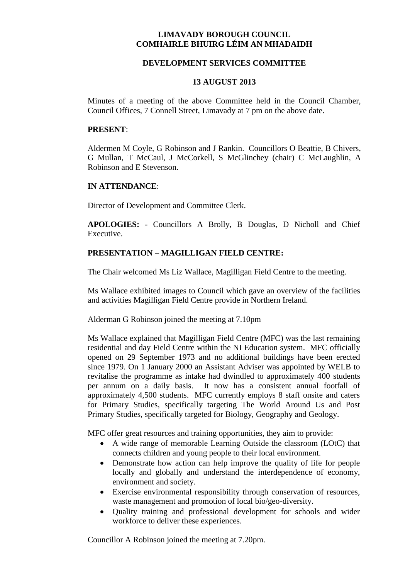# **LIMAVADY BOROUGH COUNCIL COMHAIRLE BHUIRG LÉIM AN MHADAIDH**

## **DEVELOPMENT SERVICES COMMITTEE**

## **13 AUGUST 2013**

Minutes of a meeting of the above Committee held in the Council Chamber, Council Offices, 7 Connell Street, Limavady at 7 pm on the above date.

## **PRESENT**:

Aldermen M Coyle, G Robinson and J Rankin. Councillors O Beattie, B Chivers, G Mullan, T McCaul, J McCorkell, S McGlinchey (chair) C McLaughlin, A Robinson and E Stevenson.

## **IN ATTENDANCE**:

Director of Development and Committee Clerk.

**APOLOGIES: -** Councillors A Brolly, B Douglas, D Nicholl and Chief Executive.

## **PRESENTATION – MAGILLIGAN FIELD CENTRE:**

The Chair welcomed Ms Liz Wallace, Magilligan Field Centre to the meeting.

Ms Wallace exhibited images to Council which gave an overview of the facilities and activities Magilligan Field Centre provide in Northern Ireland.

Alderman G Robinson joined the meeting at 7.10pm

Ms Wallace explained that Magilligan Field Centre (MFC) was the last remaining residential and day Field Centre within the NI Education system. MFC officially opened on 29 September 1973 and no additional buildings have been erected since 1979. On 1 January 2000 an Assistant Adviser was appointed by WELB to revitalise the programme as intake had dwindled to approximately 400 students per annum on a daily basis. It now has a consistent annual footfall of approximately 4,500 students. MFC currently employs 8 staff onsite and caters for Primary Studies, specifically targeting The World Around Us and Post Primary Studies, specifically targeted for Biology, Geography and Geology.

MFC offer great resources and training opportunities, they aim to provide:

- A wide range of memorable Learning Outside the classroom (LOtC) that connects children and young people to their local environment.
- Demonstrate how action can help improve the quality of life for people locally and globally and understand the interdependence of economy, environment and society.
- Exercise environmental responsibility through conservation of resources, waste management and promotion of local bio/geo-diversity.
- Ouality training and professional development for schools and wider workforce to deliver these experiences.

Councillor A Robinson joined the meeting at 7.20pm.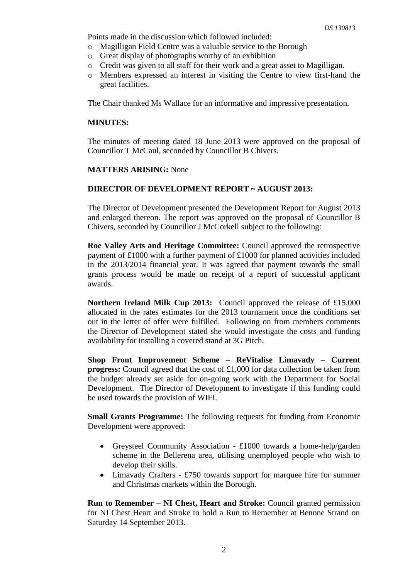Points made in the discussion which followed included:

- o Magilligan Field Centre was a valuable service to the Borough
- o Great display of photographs worthy of an exhibition
- o Credit was given to all staff for their work and a great asset to Magilligan.
- o Members expressed an interest in visiting the Centre to view first-hand the great facilities.

The Chair thanked Ms Wallace for an informative and impressive presentation.

## **MINUTES:**

The minutes of meeting dated 18 June 2013 were approved on the proposal of Councillor T McCaul, seconded by Councillor B Chivers.

# **MATTERS ARISING:** None

# **DIRECTOR OF DEVELOPMENT REPORT ~ AUGUST 2013:**

The Director of Development presented the Development Report for August 2013 and enlarged thereon. The report was approved on the proposal of Councillor B Chivers, seconded by Councillor J McCorkell subject to the following:

**Roe Valley Arts and Heritage Committee:** Council approved the retrospective payment of £1000 with a further payment of £1000 for planned activities included in the 2013/2014 financial year. It was agreed that payment towards the small grants process would be made on receipt of a report of successful applicant awards.

**Northern Ireland Milk Cup 2013:** Council approved the release of £15,000 allocated in the rates estimates for the 2013 tournament once the conditions set out in the letter of offer were fulfilled. Following on from members comments the Director of Development stated she would investigate the costs and funding availability for installing a covered stand at 3G Pitch.

**Shop Front Improvement Scheme – ReVitalise Limavady – Current progress:** Council agreed that the cost of £1,000 for data collection be taken from the budget already set aside for on-going work with the Department for Social Development. The Director of Development to investigate if this funding could be used towards the provision of WIFI.

**Small Grants Programme:** The following requests for funding from Economic Development were approved:

- Greysteel Community Association £1000 towards a home-help/garden scheme in the Bellerena area, utilising unemployed people who wish to develop their skills.
- Limavady Crafters £750 towards support for marquee hire for summer and Christmas markets within the Borough.

**Run to Remember – NI Chest, Heart and Stroke:** Council granted permission for NI Chest Heart and Stroke to hold a Run to Remember at Benone Strand on Saturday 14 September 2013.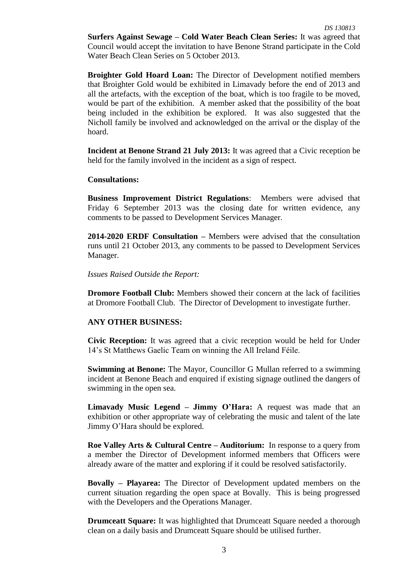**Surfers Against Sewage – Cold Water Beach Clean Series:** It was agreed that Council would accept the invitation to have Benone Strand participate in the Cold Water Beach Clean Series on 5 October 2013.

**Broighter Gold Hoard Loan:** The Director of Development notified members that Broighter Gold would be exhibited in Limavady before the end of 2013 and all the artefacts, with the exception of the boat, which is too fragile to be moved, would be part of the exhibition. A member asked that the possibility of the boat being included in the exhibition be explored. It was also suggested that the Nicholl family be involved and acknowledged on the arrival or the display of the hoard.

**Incident at Benone Strand 21 July 2013:** It was agreed that a Civic reception be held for the family involved in the incident as a sign of respect.

## **Consultations:**

**Business Improvement District Regulations**: Members were advised that Friday 6 September 2013 was the closing date for written evidence, any comments to be passed to Development Services Manager.

**2014-2020 ERDF Consultation –** Members were advised that the consultation runs until 21 October 2013, any comments to be passed to Development Services Manager.

#### *Issues Raised Outside the Report:*

**Dromore Football Club:** Members showed their concern at the lack of facilities at Dromore Football Club. The Director of Development to investigate further.

#### **ANY OTHER BUSINESS:**

**Civic Reception:** It was agreed that a civic reception would be held for Under 14's St Matthews Gaelic Team on winning the All Ireland Féile.

**Swimming at Benone:** The Mayor, Councillor G Mullan referred to a swimming incident at Benone Beach and enquired if existing signage outlined the dangers of swimming in the open sea.

**Limavady Music Legend – Jimmy O'Hara:** A request was made that an exhibition or other appropriate way of celebrating the music and talent of the late Jimmy O'Hara should be explored.

**Roe Valley Arts & Cultural Centre – Auditorium:** In response to a query from a member the Director of Development informed members that Officers were already aware of the matter and exploring if it could be resolved satisfactorily.

**Bovally – Playarea:** The Director of Development updated members on the current situation regarding the open space at Bovally. This is being progressed with the Developers and the Operations Manager.

**Drumceatt Square:** It was highlighted that Drumceatt Square needed a thorough clean on a daily basis and Drumceatt Square should be utilised further.